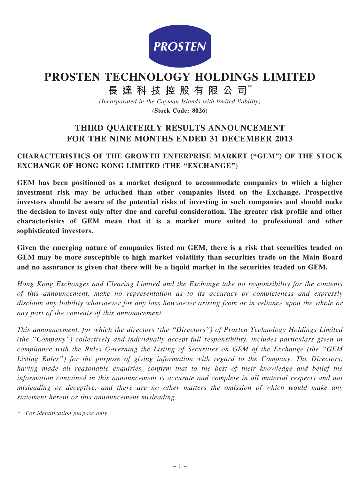

# PROSTEN TECHNOLOGY HOLDINGS LIMITED

# 長 達 科 技 控 股 有 限 公 司\*

(Incorporated in the Cayman Islands with limited liability)

(Stock Code: 8026)

## THIRD QUARTERLY RESULTS ANNOUNCEMENT FOR THE NINE MONTHS ENDED 31 DECEMBER 2013

## CHARACTERISTICS OF THE GROWTH ENTERPRISE MARKET (''GEM'') OF THE STOCK EXCHANGE OF HONG KONG LIMITED (THE "EXCHANGE")

GEM has been positioned as a market designed to accommodate companies to which a higher investment risk may be attached than other companies listed on the Exchange. Prospective investors should be aware of the potential risks of investing in such companies and should make the decision to invest only after due and careful consideration. The greater risk profile and other characteristics of GEM mean that it is a market more suited to professional and other sophisticated investors.

Given the emerging nature of companies listed on GEM, there is a risk that securities traded on GEM may be more susceptible to high market volatility than securities trade on the Main Board and no assurance is given that there will be a liquid market in the securities traded on GEM.

Hong Kong Exchanges and Clearing Limited and the Exchange take no responsibility for the contents of this announcement, make no representation as to its accuracy or completeness and expressly disclaim any liability whatsoever for any loss howsoever arising from or in reliance upon the whole or any part of the contents of this announcement.

This announcement, for which the directors (the ''Directors'') of Prosten Technology Holdings Limited (the ''Company'') collectively and individually accept full responsibility, includes particulars given in compliance with the Rules Governing the Listing of Securities on GEM of the Exchange (the ''GEM Listing Rules'') for the purpose of giving information with regard to the Company. The Directors, having made all reasonable enquiries, confirm that to the best of their knowledge and belief the information contained in this announcement is accurate and complete in all material respects and not misleading or deceptive, and there are no other matters the omission of which would make any statement herein or this announcement misleading.

\* For identification purpose only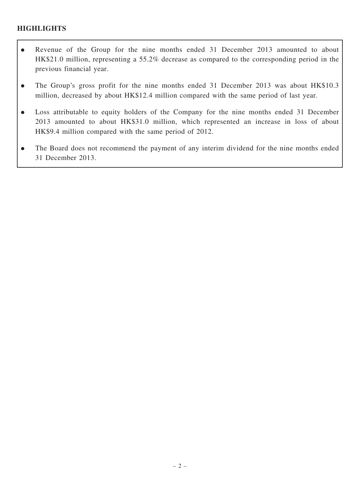## **HIGHLIGHTS**

- . Revenue of the Group for the nine months ended 31 December 2013 amounted to about HK\$21.0 million, representing a 55.2% decrease as compared to the corresponding period in the previous financial year.
- The Group's gross profit for the nine months ended 31 December 2013 was about HK\$10.3 million, decreased by about HK\$12.4 million compared with the same period of last year.
- . Loss attributable to equity holders of the Company for the nine months ended 31 December 2013 amounted to about HK\$31.0 million, which represented an increase in loss of about HK\$9.4 million compared with the same period of 2012.
- . The Board does not recommend the payment of any interim dividend for the nine months ended 31 December 2013.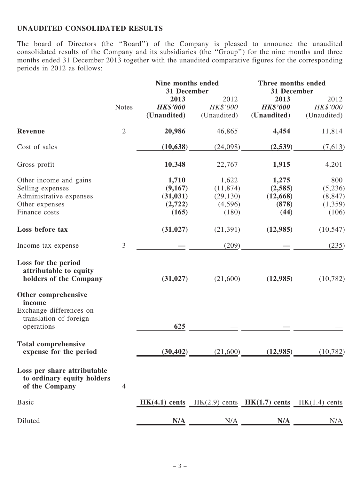## UNAUDITED CONSOLIDATED RESULTS

The board of Directors (the ''Board'') of the Company is pleased to announce the unaudited consolidated results of the Company and its subsidiaries (the ''Group'') for the nine months and three months ended 31 December 2013 together with the unaudited comparative figures for the corresponding periods in 2012 as follows:

|                                                                             |                | Nine months ended<br><b>31 December</b> |                  |                                                                 | Three months ended<br>31 December |  |  |
|-----------------------------------------------------------------------------|----------------|-----------------------------------------|------------------|-----------------------------------------------------------------|-----------------------------------|--|--|
|                                                                             | <b>Notes</b>   | 2013<br><b>HK\$'000</b>                 | 2012<br>HK\$'000 | 2013<br><b>HK\$'000</b>                                         | 2012<br>HK\$'000                  |  |  |
|                                                                             |                | (Unaudited)                             | (Unaudited)      | (Unaudited)                                                     | (Unaudited)                       |  |  |
| <b>Revenue</b>                                                              | $\overline{2}$ | 20,986                                  | 46,865           | 4,454                                                           | 11,814                            |  |  |
| Cost of sales                                                               |                | (10, 638)                               | (24,098)         | (2,539)                                                         | (7,613)                           |  |  |
| Gross profit                                                                |                | 10,348                                  | 22,767           | 1,915                                                           | 4,201                             |  |  |
| Other income and gains                                                      |                | 1,710                                   | 1,622            | 1,275                                                           | 800                               |  |  |
| Selling expenses                                                            |                | (9,167)                                 | (11, 874)        | (2,585)                                                         | (5,236)                           |  |  |
| Administrative expenses                                                     |                | (31, 031)                               | (29, 130)        | (12, 668)                                                       | (8, 847)                          |  |  |
| Other expenses                                                              |                | (2,722)                                 | (4,596)          | (878)                                                           | (1,359)                           |  |  |
| Finance costs                                                               |                | (165)                                   | (180)            | (44)                                                            | (106)                             |  |  |
| Loss before tax                                                             |                | (31, 027)                               | (21, 391)        | (12,985)                                                        | (10, 547)                         |  |  |
| Income tax expense                                                          | $\mathfrak{Z}$ |                                         | (209)            |                                                                 | (235)                             |  |  |
| Loss for the period<br>attributable to equity<br>holders of the Company     |                | (31, 027)                               | (21,600)         | (12,985)                                                        | (10, 782)                         |  |  |
| Other comprehensive                                                         |                |                                         |                  |                                                                 |                                   |  |  |
| income<br>Exchange differences on                                           |                |                                         |                  |                                                                 |                                   |  |  |
| translation of foreign<br>operations                                        |                | 625                                     |                  |                                                                 |                                   |  |  |
| <b>Total comprehensive</b><br>expense for the period                        |                | (30, 402)                               | (21,600)         | (12,985)                                                        | (10, 782)                         |  |  |
| Loss per share attributable<br>to ordinary equity holders<br>of the Company | $\overline{4}$ |                                         |                  |                                                                 |                                   |  |  |
| Basic                                                                       |                |                                         |                  | $HK(4.1)$ cents $HK(2.9)$ cents $HK(1.7)$ cents $HK(1.4)$ cents |                                   |  |  |
| Diluted                                                                     |                | N/A                                     | N/A              | N/A                                                             | N/A                               |  |  |
|                                                                             |                |                                         |                  |                                                                 |                                   |  |  |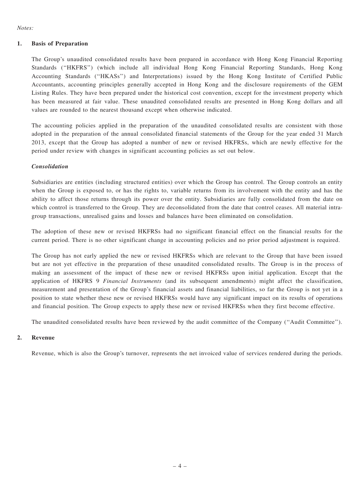#### 1. Basis of Preparation

The Group's unaudited consolidated results have been prepared in accordance with Hong Kong Financial Reporting Standards (''HKFRS'') (which include all individual Hong Kong Financial Reporting Standards, Hong Kong Accounting Standards (''HKASs'') and Interpretations) issued by the Hong Kong Institute of Certified Public Accountants, accounting principles generally accepted in Hong Kong and the disclosure requirements of the GEM Listing Rules. They have been prepared under the historical cost convention, except for the investment property which has been measured at fair value. These unaudited consolidated results are presented in Hong Kong dollars and all values are rounded to the nearest thousand except when otherwise indicated.

The accounting policies applied in the preparation of the unaudited consolidated results are consistent with those adopted in the preparation of the annual consolidated financial statements of the Group for the year ended 31 March 2013, except that the Group has adopted a number of new or revised HKFRSs, which are newly effective for the period under review with changes in significant accounting policies as set out below.

#### Consolidation

Subsidiaries are entities (including structured entities) over which the Group has control. The Group controls an entity when the Group is exposed to, or has the rights to, variable returns from its involvement with the entity and has the ability to affect those returns through its power over the entity. Subsidiaries are fully consolidated from the date on which control is transferred to the Group. They are deconsolidated from the date that control ceases. All material intragroup transactions, unrealised gains and losses and balances have been eliminated on consolidation.

The adoption of these new or revised HKFRSs had no significant financial effect on the financial results for the current period. There is no other significant change in accounting policies and no prior period adjustment is required.

The Group has not early applied the new or revised HKFRSs which are relevant to the Group that have been issued but are not yet effective in the preparation of these unaudited consolidated results. The Group is in the process of making an assessment of the impact of these new or revised HKFRSs upon initial application. Except that the application of HKFRS 9 Financial Instruments (and its subsequent amendments) might affect the classification, measurement and presentation of the Group's financial assets and financial liabilities, so far the Group is not yet in a position to state whether these new or revised HKFRSs would have any significant impact on its results of operations and financial position. The Group expects to apply these new or revised HKFRSs when they first become effective.

The unaudited consolidated results have been reviewed by the audit committee of the Company (''Audit Committee'').

#### 2. Revenue

Revenue, which is also the Group's turnover, represents the net invoiced value of services rendered during the periods.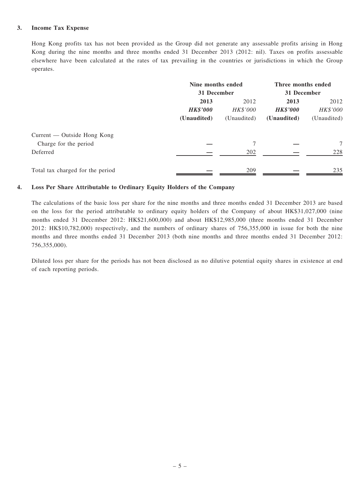#### 3. Income Tax Expense

Hong Kong profits tax has not been provided as the Group did not generate any assessable profits arising in Hong Kong during the nine months and three months ended 31 December 2013 (2012: nil). Taxes on profits assessable elsewhere have been calculated at the rates of tax prevailing in the countries or jurisdictions in which the Group operates.

|                                  | Nine months ended |             | Three months ended |             |  |
|----------------------------------|-------------------|-------------|--------------------|-------------|--|
|                                  |                   | 31 December |                    | 31 December |  |
|                                  | 2013              | 2012        | 2013               | 2012        |  |
|                                  | <b>HK\$'000</b>   | HK\$'000    | <b>HK\$'000</b>    | HK\$'000    |  |
|                                  | (Unaudited)       | (Unaudited) | (Unaudited)        | (Unaudited) |  |
| Current — Outside Hong Kong      |                   |             |                    |             |  |
| Charge for the period            |                   |             |                    | 7           |  |
| Deferred                         |                   | 202         |                    | 228         |  |
| Total tax charged for the period |                   | 209         |                    | 235         |  |

#### 4. Loss Per Share Attributable to Ordinary Equity Holders of the Company

The calculations of the basic loss per share for the nine months and three months ended 31 December 2013 are based on the loss for the period attributable to ordinary equity holders of the Company of about HK\$31,027,000 (nine months ended 31 December 2012: HK\$21,600,000) and about HK\$12,985,000 (three months ended 31 December 2012: HK\$10,782,000) respectively, and the numbers of ordinary shares of 756,355,000 in issue for both the nine months and three months ended 31 December 2013 (both nine months and three months ended 31 December 2012: 756,355,000).

Diluted loss per share for the periods has not been disclosed as no dilutive potential equity shares in existence at end of each reporting periods.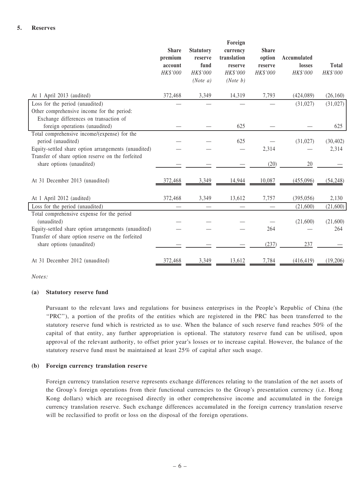|                                                                                                                            | <b>Share</b><br>premium<br>account<br>HK\$'000 | <b>Statutory</b><br>reserve<br>fund<br>HK\$'000<br>(Note a) | Foreign<br>currency<br>translation<br>reserve<br>HK\$'000<br>(Note b) | <b>Share</b><br>option<br>reserve<br>HK\$'000 | <b>Accumulated</b><br>losses<br>HK\$'000 | <b>Total</b><br>HK\$'000 |
|----------------------------------------------------------------------------------------------------------------------------|------------------------------------------------|-------------------------------------------------------------|-----------------------------------------------------------------------|-----------------------------------------------|------------------------------------------|--------------------------|
| At 1 April 2013 (audited)                                                                                                  | 372,468                                        | 3,349                                                       | 14,319                                                                | 7,793                                         | (424, 089)                               | (26, 160)                |
| Loss for the period (unaudited)<br>Other comprehensive income for the period:<br>Exchange differences on transaction of    |                                                |                                                             |                                                                       |                                               | (31,027)                                 | (31, 027)                |
| foreign operations (unaudited)                                                                                             |                                                |                                                             | 625                                                                   |                                               |                                          | 625                      |
| Total comprehensive income/(expense) for the<br>period (unaudited)<br>Equity-settled share option arrangements (unaudited) |                                                |                                                             | 625                                                                   | 2,314                                         | (31, 027)                                | (30, 402)<br>2,314       |
| Transfer of share option reserve on the forfeited<br>share options (unaudited)                                             |                                                |                                                             |                                                                       | (20)                                          | 20                                       |                          |
| At 31 December 2013 (unaudited)                                                                                            | 372,468                                        | 3,349                                                       | 14,944                                                                | 10,087                                        | (455,096)                                | (54, 248)                |
| At 1 April 2012 (audited)                                                                                                  | 372,468                                        | 3,349                                                       | 13,612                                                                | 7,757                                         | (395, 056)                               | 2,130                    |
| Loss for the period (unaudited)                                                                                            |                                                |                                                             |                                                                       |                                               | (21,600)                                 | (21,600)                 |
| Total comprehensive expense for the period<br>(unaudited)<br>Equity-settled share option arrangements (unaudited)          |                                                |                                                             |                                                                       | 264                                           | (21,600)                                 | (21,600)<br>264          |
| Transfer of share option reserve on the forfeited<br>share options (unaudited)                                             |                                                |                                                             |                                                                       | (237)                                         | 237                                      |                          |
| At 31 December 2012 (unaudited)                                                                                            | 372,468                                        | 3,349                                                       | 13,612                                                                | 7,784                                         | (416, 419)                               | (19,206)                 |

#### (a) Statutory reserve fund

Pursuant to the relevant laws and regulations for business enterprises in the People's Republic of China (the ''PRC''), a portion of the profits of the entities which are registered in the PRC has been transferred to the statutory reserve fund which is restricted as to use. When the balance of such reserve fund reaches 50% of the capital of that entity, any further appropriation is optional. The statutory reserve fund can be utilised, upon approval of the relevant authority, to offset prior year's losses or to increase capital. However, the balance of the statutory reserve fund must be maintained at least 25% of capital after such usage.

#### (b) Foreign currency translation reserve

Foreign currency translation reserve represents exchange differences relating to the translation of the net assets of the Group's foreign operations from their functional currencies to the Group's presentation currency (i.e. Hong Kong dollars) which are recognised directly in other comprehensive income and accumulated in the foreign currency translation reserve. Such exchange differences accumulated in the foreign currency translation reserve will be reclassified to profit or loss on the disposal of the foreign operations.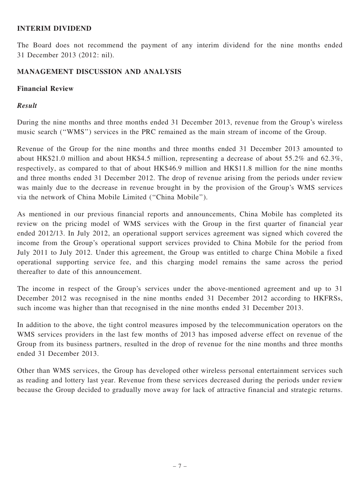## INTERIM DIVIDEND

The Board does not recommend the payment of any interim dividend for the nine months ended 31 December 2013 (2012: nil).

#### MANAGEMENT DISCUSSION AND ANALYSIS

#### Financial Review

## Result

During the nine months and three months ended 31 December 2013, revenue from the Group's wireless music search (''WMS'') services in the PRC remained as the main stream of income of the Group.

Revenue of the Group for the nine months and three months ended 31 December 2013 amounted to about HK\$21.0 million and about HK\$4.5 million, representing a decrease of about 55.2% and 62.3%, respectively, as compared to that of about HK\$46.9 million and HK\$11.8 million for the nine months and three months ended 31 December 2012. The drop of revenue arising from the periods under review was mainly due to the decrease in revenue brought in by the provision of the Group's WMS services via the network of China Mobile Limited (''China Mobile'').

As mentioned in our previous financial reports and announcements, China Mobile has completed its review on the pricing model of WMS services with the Group in the first quarter of financial year ended 2012/13. In July 2012, an operational support services agreement was signed which covered the income from the Group's operational support services provided to China Mobile for the period from July 2011 to July 2012. Under this agreement, the Group was entitled to charge China Mobile a fixed operational supporting service fee, and this charging model remains the same across the period thereafter to date of this announcement.

The income in respect of the Group's services under the above-mentioned agreement and up to 31 December 2012 was recognised in the nine months ended 31 December 2012 according to HKFRSs, such income was higher than that recognised in the nine months ended 31 December 2013.

In addition to the above, the tight control measures imposed by the telecommunication operators on the WMS services providers in the last few months of 2013 has imposed adverse effect on revenue of the Group from its business partners, resulted in the drop of revenue for the nine months and three months ended 31 December 2013.

Other than WMS services, the Group has developed other wireless personal entertainment services such as reading and lottery last year. Revenue from these services decreased during the periods under review because the Group decided to gradually move away for lack of attractive financial and strategic returns.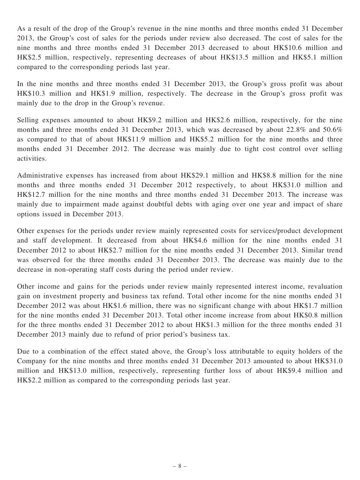As a result of the drop of the Group's revenue in the nine months and three months ended 31 December 2013, the Group's cost of sales for the periods under review also decreased. The cost of sales for the nine months and three months ended 31 December 2013 decreased to about HK\$10.6 million and HK\$2.5 million, respectively, representing decreases of about HK\$13.5 million and HK\$5.1 million compared to the corresponding periods last year.

In the nine months and three months ended 31 December 2013, the Group's gross profit was about HK\$10.3 million and HK\$1.9 million, respectively. The decrease in the Group's gross profit was mainly due to the drop in the Group's revenue.

Selling expenses amounted to about HK\$9.2 million and HK\$2.6 million, respectively, for the nine months and three months ended 31 December 2013, which was decreased by about 22.8% and 50.6% as compared to that of about HK\$11.9 million and HK\$5.2 million for the nine months and three months ended 31 December 2012. The decrease was mainly due to tight cost control over selling activities.

Administrative expenses has increased from about HK\$29.1 million and HK\$8.8 million for the nine months and three months ended 31 December 2012 respectively, to about HK\$31.0 million and HK\$12.7 million for the nine months and three months ended 31 December 2013. The increase was mainly due to impairment made against doubtful debts with aging over one year and impact of share options issued in December 2013.

Other expenses for the periods under review mainly represented costs for services/product development and staff development. It decreased from about HK\$4.6 million for the nine months ended 31 December 2012 to about HK\$2.7 million for the nine months ended 31 December 2013. Similar trend was observed for the three months ended 31 December 2013. The decrease was mainly due to the decrease in non-operating staff costs during the period under review.

Other income and gains for the periods under review mainly represented interest income, revaluation gain on investment property and business tax refund. Total other income for the nine months ended 31 December 2012 was about HK\$1.6 million, there was no significant change with about HK\$1.7 million for the nine months ended 31 December 2013. Total other income increase from about HK\$0.8 million for the three months ended 31 December 2012 to about HK\$1.3 million for the three months ended 31 December 2013 mainly due to refund of prior period's business tax.

Due to a combination of the effect stated above, the Group's loss attributable to equity holders of the Company for the nine months and three months ended 31 December 2013 amounted to about HK\$31.0 million and HK\$13.0 million, respectively, representing further loss of about HK\$9.4 million and HK\$2.2 million as compared to the corresponding periods last year.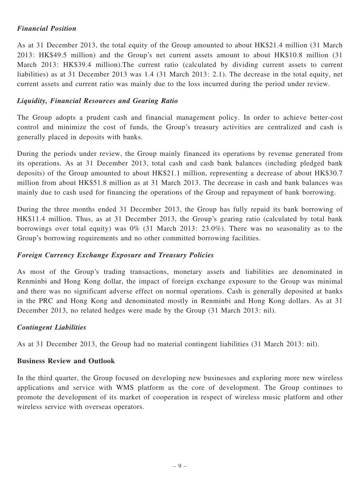## Financial Position

As at 31 December 2013, the total equity of the Group amounted to about HK\$21.4 million (31 March 2013: HK\$49.5 million) and the Group's net current assets amount to about HK\$10.8 million (31 March 2013: HK\$39.4 million).The current ratio (calculated by dividing current assets to current liabilities) as at 31 December 2013 was 1.4 (31 March 2013: 2.1). The decrease in the total equity, net current assets and current ratio was mainly due to the loss incurred during the period under review.

## Liquidity, Financial Resources and Gearing Ratio

The Group adopts a prudent cash and financial management policy. In order to achieve better-cost control and minimize the cost of funds, the Group's treasury activities are centralized and cash is generally placed in deposits with banks.

During the periods under review, the Group mainly financed its operations by revenue generated from its operations. As at 31 December 2013, total cash and cash bank balances (including pledged bank deposits) of the Group amounted to about HK\$21.1 million, representing a decrease of about HK\$30.7 million from about HK\$51.8 million as at 31 March 2013. The decrease in cash and bank balances was mainly due to cash used for financing the operations of the Group and repayment of bank borrowing.

During the three months ended 31 December 2013, the Group has fully repaid its bank borrowing of HK\$11.4 million. Thus, as at 31 December 2013, the Group's gearing ratio (calculated by total bank borrowings over total equity) was  $0\%$  (31 March 2013: 23.0%). There was no seasonality as to the Group's borrowing requirements and no other committed borrowing facilities.

#### Foreign Currency Exchange Exposure and Treasury Policies

As most of the Group's trading transactions, monetary assets and liabilities are denominated in Renminbi and Hong Kong dollar, the impact of foreign exchange exposure to the Group was minimal and there was no significant adverse effect on normal operations. Cash is generally deposited at banks in the PRC and Hong Kong and denominated mostly in Renminbi and Hong Kong dollars. As at 31 December 2013, no related hedges were made by the Group (31 March 2013: nil).

## Contingent Liabilities

As at 31 December 2013, the Group had no material contingent liabilities (31 March 2013: nil).

#### Business Review and Outlook

In the third quarter, the Group focused on developing new businesses and exploring more new wireless applications and service with WMS platform as the core of development. The Group continues to promote the development of its market of cooperation in respect of wireless music platform and other wireless service with overseas operators.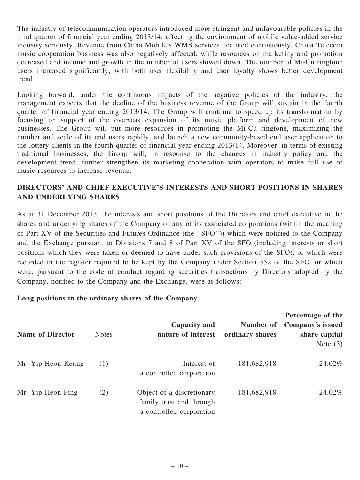The industry of telecommunication operators introduced more stringent and unfavourable policies in the third quarter of financial year ending 2013/14, affecting the environment of mobile value-added service industry seriously. Revenue from China Mobile's WMS services declined continuously, China Telecom music cooperation business was also negatively affected, while resources on marketing and promotion decreased and income and growth in the number of users slowed down. The number of Mi-Cu ringtone users increased significantly, with both user flexibility and user loyalty shows better development trend.

Looking forward, under the continuous impacts of the negative policies of the industry, the management expects that the decline of the business revenue of the Group will sustain in the fourth quarter of financial year ending 2013/14. The Group will continue to speed up its transformation by focusing on support of the overseas expansion of its music platform and development of new businesses. The Group will put more resources in promoting the Mi-Cu ringtone, maximizing the number and scale of its end users rapidly, and launch a new community-based end user application to the lottery clients in the fourth quarter of financial year ending 2013/14. Moreover, in terms of existing traditional businesses, the Group will, in response to the changes in industry policy and the development trend, further strengthen its marketing cooperation with operators to make full use of music resources to increase revenue.

## DIRECTORS' AND CHIEF EXECUTIVE'S INTERESTS AND SHORT POSITIONS IN SHARES AND UNDERLYING SHARES

As at 31 December 2013, the interests and short positions of the Directors and chief executive in the shares and underlying shares of the Company or any of its associated corporations (within the meaning of Part XV of the Securities and Futures Ordinance (the ''SFO'')) which were notified to the Company and the Exchange pursuant to Divisions 7 and 8 of Part XV of the SFO (including interests or short positions which they were taken or deemed to have under such provisions of the SFO), or which were recorded in the register required to be kept by the Company under Section 352 of the SFO, or which were, pursuant to the code of conduct regarding securities transactions by Directors adopted by the Company, notified to the Company and the Exchange, were as follows:

## Long positions in the ordinary shares of the Company

| <b>Name of Director</b> | <b>Notes</b> | Capacity and<br>nature of interest                                                | Number of<br>ordinary shares | Percentage of the<br>Company's issued<br>share capital<br>Note $(3)$ |
|-------------------------|--------------|-----------------------------------------------------------------------------------|------------------------------|----------------------------------------------------------------------|
| Mr. Yip Heon Keung      | (1)          | Interest of<br>a controlled corporation                                           | 181,682,918                  | 24.02%                                                               |
| Mr. Yip Heon Ping       | (2)          | Object of a discretionary<br>family trust and through<br>a controlled corporation | 181,682,918                  | 24.02%                                                               |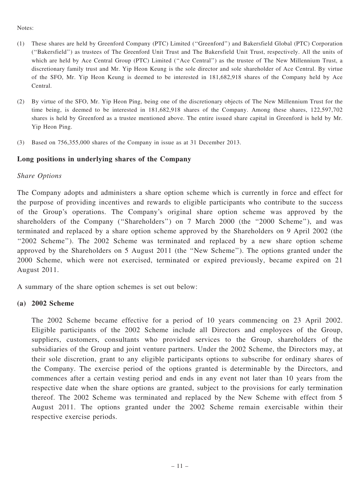- (1) These shares are held by Greenford Company (PTC) Limited (''Greenford'') and Bakersfield Global (PTC) Corporation (''Bakersfield'') as trustees of The Greenford Unit Trust and The Bakersfield Unit Trust, respectively. All the units of which are held by Ace Central Group (PTC) Limited ("Ace Central") as the trustee of The New Millennium Trust, a discretionary family trust and Mr. Yip Heon Keung is the sole director and sole shareholder of Ace Central. By virtue of the SFO, Mr. Yip Heon Keung is deemed to be interested in 181,682,918 shares of the Company held by Ace Central.
- (2) By virtue of the SFO, Mr. Yip Heon Ping, being one of the discretionary objects of The New Millennium Trust for the time being, is deemed to be interested in 181,682,918 shares of the Company. Among these shares, 122,597,702 shares is held by Greenford as a trustee mentioned above. The entire issued share capital in Greenford is held by Mr. Yip Heon Ping.
- (3) Based on 756,355,000 shares of the Company in issue as at 31 December 2013.

#### Long positions in underlying shares of the Company

#### Share Options

The Company adopts and administers a share option scheme which is currently in force and effect for the purpose of providing incentives and rewards to eligible participants who contribute to the success of the Group's operations. The Company's original share option scheme was approved by the shareholders of the Company ("Shareholders") on 7 March 2000 (the "2000 Scheme"), and was terminated and replaced by a share option scheme approved by the Shareholders on 9 April 2002 (the ''2002 Scheme''). The 2002 Scheme was terminated and replaced by a new share option scheme approved by the Shareholders on 5 August 2011 (the ''New Scheme''). The options granted under the 2000 Scheme, which were not exercised, terminated or expired previously, became expired on 21 August 2011.

A summary of the share option schemes is set out below:

#### (a) 2002 Scheme

The 2002 Scheme became effective for a period of 10 years commencing on 23 April 2002. Eligible participants of the 2002 Scheme include all Directors and employees of the Group, suppliers, customers, consultants who provided services to the Group, shareholders of the subsidiaries of the Group and joint venture partners. Under the 2002 Scheme, the Directors may, at their sole discretion, grant to any eligible participants options to subscribe for ordinary shares of the Company. The exercise period of the options granted is determinable by the Directors, and commences after a certain vesting period and ends in any event not later than 10 years from the respective date when the share options are granted, subject to the provisions for early termination thereof. The 2002 Scheme was terminated and replaced by the New Scheme with effect from 5 August 2011. The options granted under the 2002 Scheme remain exercisable within their respective exercise periods.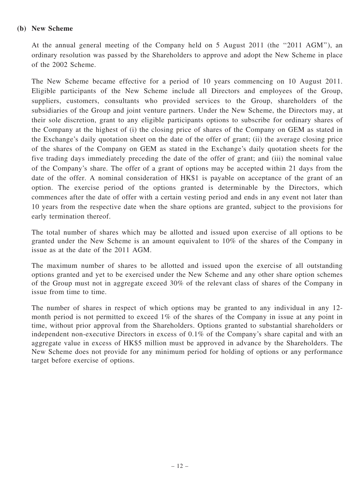#### (b) New Scheme

At the annual general meeting of the Company held on 5 August 2011 (the ''2011 AGM''), an ordinary resolution was passed by the Shareholders to approve and adopt the New Scheme in place of the 2002 Scheme.

The New Scheme became effective for a period of 10 years commencing on 10 August 2011. Eligible participants of the New Scheme include all Directors and employees of the Group, suppliers, customers, consultants who provided services to the Group, shareholders of the subsidiaries of the Group and joint venture partners. Under the New Scheme, the Directors may, at their sole discretion, grant to any eligible participants options to subscribe for ordinary shares of the Company at the highest of (i) the closing price of shares of the Company on GEM as stated in the Exchange's daily quotation sheet on the date of the offer of grant; (ii) the average closing price of the shares of the Company on GEM as stated in the Exchange's daily quotation sheets for the five trading days immediately preceding the date of the offer of grant; and (iii) the nominal value of the Company's share. The offer of a grant of options may be accepted within 21 days from the date of the offer. A nominal consideration of HK\$1 is payable on acceptance of the grant of an option. The exercise period of the options granted is determinable by the Directors, which commences after the date of offer with a certain vesting period and ends in any event not later than 10 years from the respective date when the share options are granted, subject to the provisions for early termination thereof.

The total number of shares which may be allotted and issued upon exercise of all options to be granted under the New Scheme is an amount equivalent to 10% of the shares of the Company in issue as at the date of the 2011 AGM.

The maximum number of shares to be allotted and issued upon the exercise of all outstanding options granted and yet to be exercised under the New Scheme and any other share option schemes of the Group must not in aggregate exceed 30% of the relevant class of shares of the Company in issue from time to time.

The number of shares in respect of which options may be granted to any individual in any 12 month period is not permitted to exceed 1% of the shares of the Company in issue at any point in time, without prior approval from the Shareholders. Options granted to substantial shareholders or independent non-executive Directors in excess of 0.1% of the Company's share capital and with an aggregate value in excess of HK\$5 million must be approved in advance by the Shareholders. The New Scheme does not provide for any minimum period for holding of options or any performance target before exercise of options.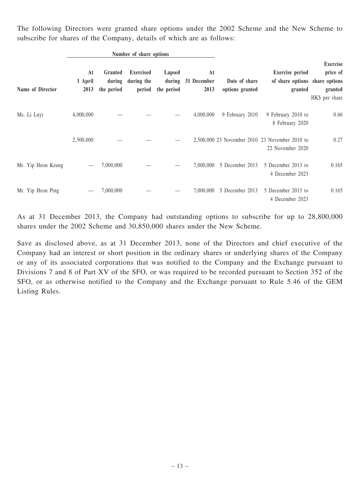The following Directors were granted share options under the 2002 Scheme and the New Scheme to subscribe for shares of the Company, details of which are as follows:

|                    | Number of share options |                                 |                                          |                                |                           |                                  |                                                                     |                                                          |
|--------------------|-------------------------|---------------------------------|------------------------------------------|--------------------------------|---------------------------|----------------------------------|---------------------------------------------------------------------|----------------------------------------------------------|
| Name of Director   | At<br>1 April<br>2013   | Granted<br>during<br>the period | <b>Exercised</b><br>during the<br>period | Lapsed<br>during<br>the period | At<br>31 December<br>2013 | Date of share<br>options granted | <b>Exercise</b> period<br>of share options share options<br>granted | <b>Exercise</b><br>price of<br>granted<br>HK\$ per share |
| Ms. Li Luyi        | 4,000,000               |                                 |                                          |                                | 4,000,000                 | 9 February 2010                  | 9 February 2010 to<br>8 February 2020                               | 0.66                                                     |
|                    | 2,500,000               |                                 |                                          |                                |                           |                                  | 2,500,000 23 November 2010 23 November 2010 to<br>22 November 2020  | 0.27                                                     |
| Mr. Yip Heon Keung |                         | 7,000,000                       |                                          |                                | 7,000,000                 | 5 December 2013                  | 5 December 2013 to<br>4 December 2023                               | 0.165                                                    |
| Mr. Yip Heon Ping  |                         | 7,000,000                       |                                          |                                | 7,000,000                 | 5 December 2013                  | 5 December 2013 to<br>4 December 2023                               | 0.165                                                    |

As at 31 December 2013, the Company had outstanding options to subscribe for up to 28,800,000 shares under the 2002 Scheme and 30,850,000 shares under the New Scheme.

Save as disclosed above, as at 31 December 2013, none of the Directors and chief executive of the Company had an interest or short position in the ordinary shares or underlying shares of the Company or any of its associated corporations that was notified to the Company and the Exchange pursuant to Divisions 7 and 8 of Part XV of the SFO, or was required to be recorded pursuant to Section 352 of the SFO, or as otherwise notified to the Company and the Exchange pursuant to Rule 5.46 of the GEM Listing Rules.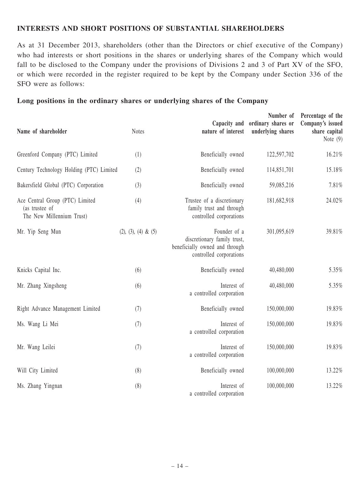### INTERESTS AND SHORT POSITIONS OF SUBSTANTIAL SHAREHOLDERS

As at 31 December 2013, shareholders (other than the Directors or chief executive of the Company) who had interests or short positions in the shares or underlying shares of the Company which would fall to be disclosed to the Company under the provisions of Divisions 2 and 3 of Part XV of the SFO, or which were recorded in the register required to be kept by the Company under Section 336 of the SFO were as follows:

#### Long positions in the ordinary shares or underlying shares of the Company

| Name of shareholder                                                            | <b>Notes</b>           | Capacity and<br>nature of interest                                                                       | Number of<br>ordinary shares or<br>underlying shares | Percentage of the<br>Company's issued<br>share capital<br>Note $(9)$ |
|--------------------------------------------------------------------------------|------------------------|----------------------------------------------------------------------------------------------------------|------------------------------------------------------|----------------------------------------------------------------------|
| Greenford Company (PTC) Limited                                                | (1)                    | Beneficially owned                                                                                       | 122,597,702                                          | 16.21%                                                               |
| Century Technology Holding (PTC) Limited                                       | (2)                    | Beneficially owned                                                                                       | 114,851,701                                          | 15.18%                                                               |
| Bakersfield Global (PTC) Corporation                                           | (3)                    | Beneficially owned                                                                                       | 59,085,216                                           | 7.81%                                                                |
| Ace Central Group (PTC) Limited<br>(as trustee of<br>The New Millennium Trust) | (4)                    | Trustee of a discretionary<br>family trust and through<br>controlled corporations                        | 181,682,918                                          | 24.02%                                                               |
| Mr. Yip Seng Mun                                                               | $(2), (3), (4) \& (5)$ | Founder of a<br>discretionary family trust,<br>beneficially owned and through<br>controlled corporations | 301,095,619                                          | 39.81%                                                               |
| Knicks Capital Inc.                                                            | (6)                    | Beneficially owned                                                                                       | 40,480,000                                           | 5.35%                                                                |
| Mr. Zhang Xingsheng                                                            | (6)                    | Interest of<br>a controlled corporation                                                                  | 40,480,000                                           | 5.35%                                                                |
| Right Advance Management Limited                                               | (7)                    | Beneficially owned                                                                                       | 150,000,000                                          | 19.83%                                                               |
| Ms. Wang Li Mei                                                                | (7)                    | Interest of<br>a controlled corporation                                                                  | 150,000,000                                          | 19.83%                                                               |
| Mr. Wang Leilei                                                                | (7)                    | Interest of<br>a controlled corporation                                                                  | 150,000,000                                          | 19.83%                                                               |
| Will City Limited                                                              | (8)                    | Beneficially owned                                                                                       | 100,000,000                                          | 13.22%                                                               |
| Ms. Zhang Yingnan                                                              | (8)                    | Interest of<br>a controlled corporation                                                                  | 100,000,000                                          | 13.22%                                                               |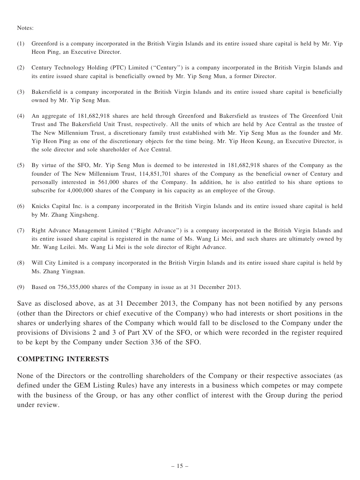- (1) Greenford is a company incorporated in the British Virgin Islands and its entire issued share capital is held by Mr. Yip Heon Ping, an Executive Director.
- (2) Century Technology Holding (PTC) Limited (''Century'') is a company incorporated in the British Virgin Islands and its entire issued share capital is beneficially owned by Mr. Yip Seng Mun, a former Director.
- (3) Bakersfield is a company incorporated in the British Virgin Islands and its entire issued share capital is beneficially owned by Mr. Yip Seng Mun.
- (4) An aggregate of 181,682,918 shares are held through Greenford and Bakersfield as trustees of The Greenford Unit Trust and The Bakersfield Unit Trust, respectively. All the units of which are held by Ace Central as the trustee of The New Millennium Trust, a discretionary family trust established with Mr. Yip Seng Mun as the founder and Mr. Yip Heon Ping as one of the discretionary objects for the time being. Mr. Yip Heon Keung, an Executive Director, is the sole director and sole shareholder of Ace Central.
- (5) By virtue of the SFO, Mr. Yip Seng Mun is deemed to be interested in 181,682,918 shares of the Company as the founder of The New Millennium Trust, 114,851,701 shares of the Company as the beneficial owner of Century and personally interested in 561,000 shares of the Company. In addition, he is also entitled to his share options to subscribe for 4,000,000 shares of the Company in his capacity as an employee of the Group.
- (6) Knicks Capital Inc. is a company incorporated in the British Virgin Islands and its entire issued share capital is held by Mr. Zhang Xingsheng.
- (7) Right Advance Management Limited (''Right Advance'') is a company incorporated in the British Virgin Islands and its entire issued share capital is registered in the name of Ms. Wang Li Mei, and such shares are ultimately owned by Mr. Wang Leilei. Ms. Wang Li Mei is the sole director of Right Advance.
- (8) Will City Limited is a company incorporated in the British Virgin Islands and its entire issued share capital is held by Ms. Zhang Yingnan.
- (9) Based on 756,355,000 shares of the Company in issue as at 31 December 2013.

Save as disclosed above, as at 31 December 2013, the Company has not been notified by any persons (other than the Directors or chief executive of the Company) who had interests or short positions in the shares or underlying shares of the Company which would fall to be disclosed to the Company under the provisions of Divisions 2 and 3 of Part XV of the SFO, or which were recorded in the register required to be kept by the Company under Section 336 of the SFO.

#### COMPETING INTERESTS

None of the Directors or the controlling shareholders of the Company or their respective associates (as defined under the GEM Listing Rules) have any interests in a business which competes or may compete with the business of the Group, or has any other conflict of interest with the Group during the period under review.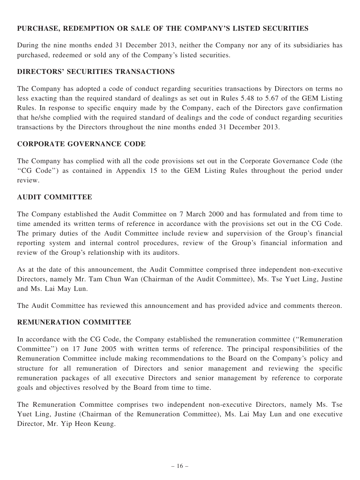## PURCHASE, REDEMPTION OR SALE OF THE COMPANY'S LISTED SECURITIES

During the nine months ended 31 December 2013, neither the Company nor any of its subsidiaries has purchased, redeemed or sold any of the Company's listed securities.

## DIRECTORS' SECURITIES TRANSACTIONS

The Company has adopted a code of conduct regarding securities transactions by Directors on terms no less exacting than the required standard of dealings as set out in Rules 5.48 to 5.67 of the GEM Listing Rules. In response to specific enquiry made by the Company, each of the Directors gave confirmation that he/she complied with the required standard of dealings and the code of conduct regarding securities transactions by the Directors throughout the nine months ended 31 December 2013.

#### CORPORATE GOVERNANCE CODE

The Company has complied with all the code provisions set out in the Corporate Governance Code (the ''CG Code'') as contained in Appendix 15 to the GEM Listing Rules throughout the period under review.

#### AUDIT COMMITTEE

The Company established the Audit Committee on 7 March 2000 and has formulated and from time to time amended its written terms of reference in accordance with the provisions set out in the CG Code. The primary duties of the Audit Committee include review and supervision of the Group's financial reporting system and internal control procedures, review of the Group's financial information and review of the Group's relationship with its auditors.

As at the date of this announcement, the Audit Committee comprised three independent non-executive Directors, namely Mr. Tam Chun Wan (Chairman of the Audit Committee), Ms. Tse Yuet Ling, Justine and Ms. Lai May Lun.

The Audit Committee has reviewed this announcement and has provided advice and comments thereon.

## REMUNERATION COMMITTEE

In accordance with the CG Code, the Company established the remuneration committee (''Remuneration Committee'') on 17 June 2005 with written terms of reference. The principal responsibilities of the Remuneration Committee include making recommendations to the Board on the Company's policy and structure for all remuneration of Directors and senior management and reviewing the specific remuneration packages of all executive Directors and senior management by reference to corporate goals and objectives resolved by the Board from time to time.

The Remuneration Committee comprises two independent non-executive Directors, namely Ms. Tse Yuet Ling, Justine (Chairman of the Remuneration Committee), Ms. Lai May Lun and one executive Director, Mr. Yip Heon Keung.